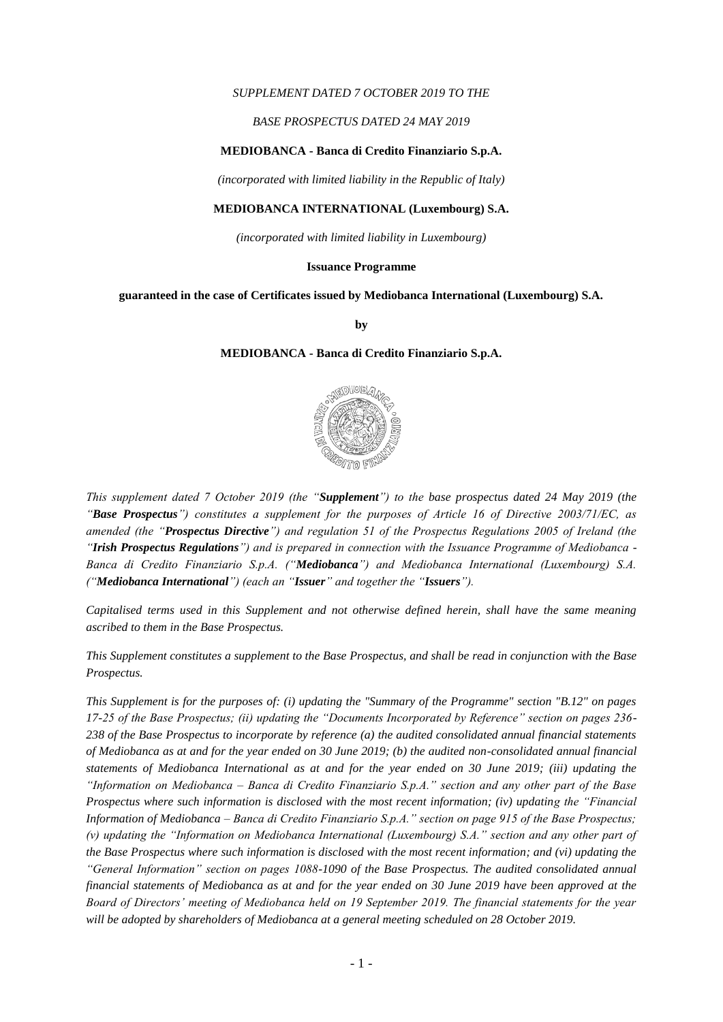### *SUPPLEMENT DATED 7 OCTOBER 2019 TO THE*

### *BASE PROSPECTUS DATED 24 MAY 2019*

### **MEDIOBANCA - Banca di Credito Finanziario S.p.A.**

*(incorporated with limited liability in the Republic of Italy)*

### **MEDIOBANCA INTERNATIONAL (Luxembourg) S.A.**

*(incorporated with limited liability in Luxembourg)*

#### **Issuance Programme**

#### **guaranteed in the case of Certificates issued by Mediobanca International (Luxembourg) S.A.**

**by**

### **MEDIOBANCA - Banca di Credito Finanziario S.p.A.**



*This supplement dated 7 October 2019 (the "Supplement") to the base prospectus dated 24 May 2019 (the "Base Prospectus") constitutes a supplement for the purposes of Article 16 of Directive 2003/71/EC, as amended (the "Prospectus Directive") and regulation 51 of the Prospectus Regulations 2005 of Ireland (the "Irish Prospectus Regulations") and is prepared in connection with the Issuance Programme of Mediobanca - Banca di Credito Finanziario S.p.A. ("Mediobanca") and Mediobanca International (Luxembourg) S.A. ("Mediobanca International") (each an "Issuer" and together the "Issuers").*

*Capitalised terms used in this Supplement and not otherwise defined herein, shall have the same meaning ascribed to them in the Base Prospectus.*

*This Supplement constitutes a supplement to the Base Prospectus, and shall be read in conjunction with the Base Prospectus.*

*This Supplement is for the purposes of: (i) updating the "Summary of the Programme" section "B.12" on pages 17-25 of the Base Prospectus; (ii) updating the "Documents Incorporated by Reference" section on pages 236- 238 of the Base Prospectus to incorporate by reference (a) the audited consolidated annual financial statements of Mediobanca as at and for the year ended on 30 June 2019; (b) the audited non-consolidated annual financial statements of Mediobanca International as at and for the year ended on 30 June 2019; (iii) updating the "Information on Mediobanca – Banca di Credito Finanziario S.p.A." section and any other part of the Base Prospectus where such information is disclosed with the most recent information; (iv) updating the "Financial Information of Mediobanca – Banca di Credito Finanziario S.p.A." section on page 915 of the Base Prospectus; (v) updating the "Information on Mediobanca International (Luxembourg) S.A." section and any other part of the Base Prospectus where such information is disclosed with the most recent information; and (vi) updating the "General Information" section on pages 1088-1090 of the Base Prospectus. The audited consolidated annual financial statements of Mediobanca as at and for the year ended on 30 June 2019 have been approved at the Board of Directors' meeting of Mediobanca held on 19 September 2019. The financial statements for the year will be adopted by shareholders of Mediobanca at a general meeting scheduled on 28 October 2019.*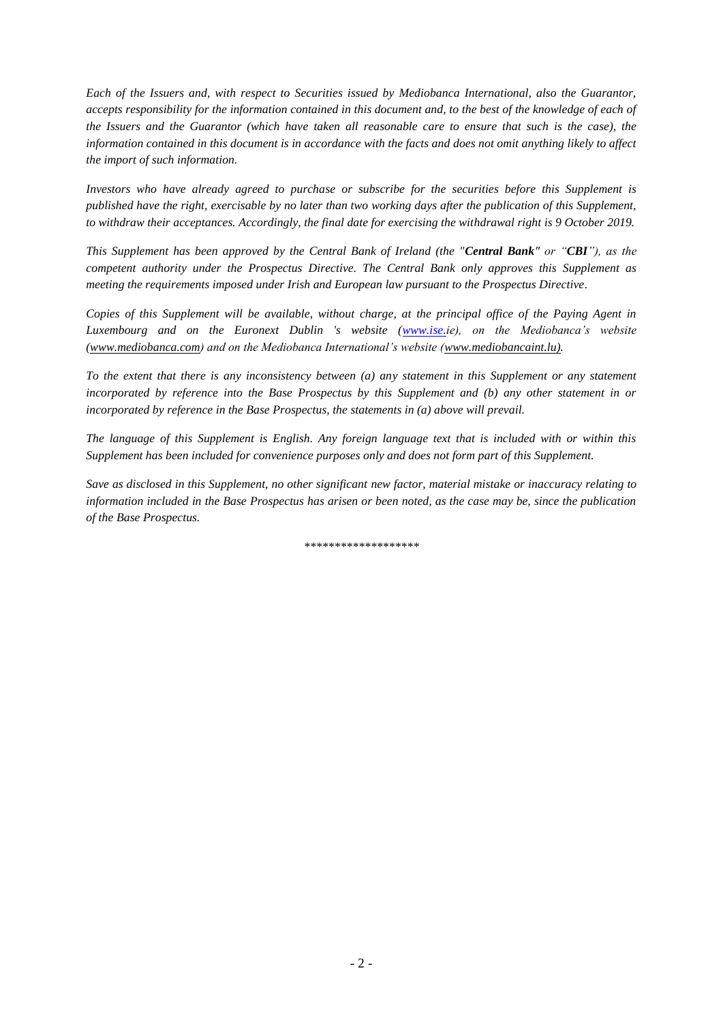*Each of the Issuers and, with respect to Securities issued by Mediobanca International, also the Guarantor, accepts responsibility for the information contained in this document and, to the best of the knowledge of each of the Issuers and the Guarantor (which have taken all reasonable care to ensure that such is the case), the information contained in this document is in accordance with the facts and does not omit anything likely to affect the import of such information.*

*Investors who have already agreed to purchase or subscribe for the securities before this Supplement is published have the right, exercisable by no later than two working days after the publication of this Supplement, to withdraw their acceptances. Accordingly, the final date for exercising the withdrawal right is 9 October 2019.*

*This Supplement has been approved by the Central Bank of Ireland (the "Central Bank" or "CBI"), as the competent authority under the Prospectus Directive. The Central Bank only approves this Supplement as meeting the requirements imposed under Irish and European law pursuant to the Prospectus Directive.*

*Copies of this Supplement will be available, without charge, at the principal office of the Paying Agent in Luxembourg and on the Euronext Dublin 's website [\(www.ise.i](http://www.ise./)e), on the Mediobanca's website (www.mediobanca.com) and on the Mediobanca International's website [\(www.mediobancaint.lu\).](http://www.mediobancaint.lu)/)* 

*To the extent that there is any inconsistency between (a) any statement in this Supplement or any statement incorporated by reference into the Base Prospectus by this Supplement and (b) any other statement in or incorporated by reference in the Base Prospectus, the statements in (a) above will prevail.*

*The language of this Supplement is English. Any foreign language text that is included with or within this Supplement has been included for convenience purposes only and does not form part of this Supplement.*

*Save as disclosed in this Supplement, no other significant new factor, material mistake or inaccuracy relating to information included in the Base Prospectus has arisen or been noted, as the case may be, since the publication of the Base Prospectus.*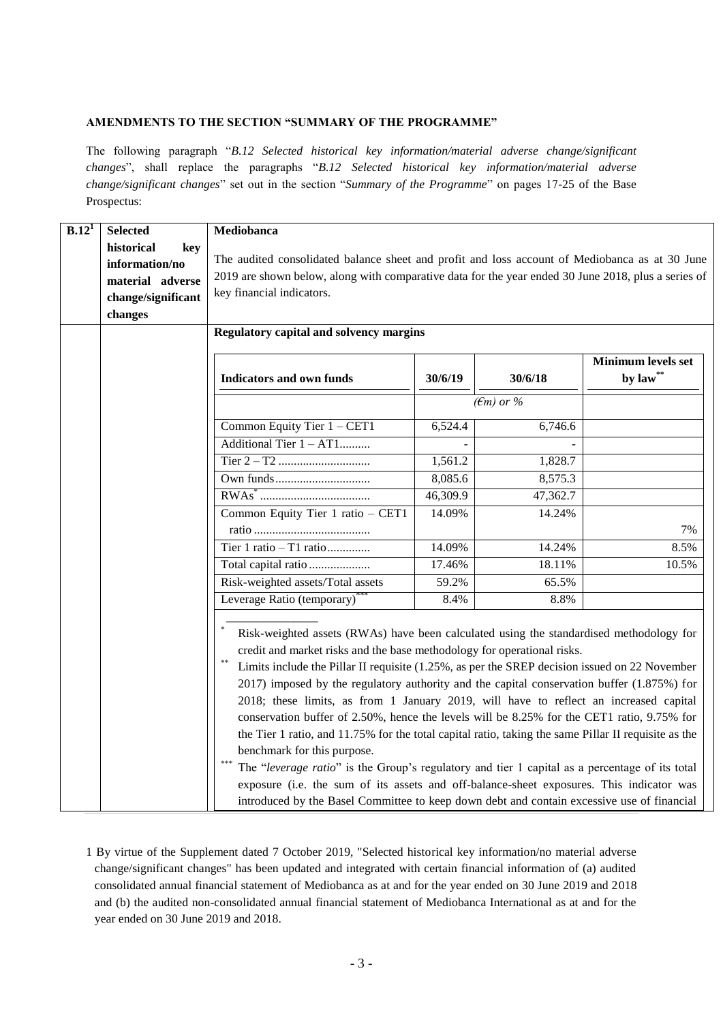## **AMENDMENTS TO THE SECTION "SUMMARY OF THE PROGRAMME"**

The following paragraph "*B.12 Selected historical key information/material adverse change/significant changes*", shall replace the paragraphs "*B.12 Selected historical key information/material adverse change/significant changes*" set out in the section "*Summary of the Programme*" on pages 17-25 of the Base Prospectus:

| B.12 <sup>1</sup> | <b>Selected</b>    | Mediobanca                                                                                                                                                         |                                                                                               |                     |                        |  |  |  |
|-------------------|--------------------|--------------------------------------------------------------------------------------------------------------------------------------------------------------------|-----------------------------------------------------------------------------------------------|---------------------|------------------------|--|--|--|
|                   | historical<br>kev  |                                                                                                                                                                    |                                                                                               |                     |                        |  |  |  |
|                   | information/no     | The audited consolidated balance sheet and profit and loss account of Mediobanca as at 30 June                                                                     |                                                                                               |                     |                        |  |  |  |
|                   | material adverse   | 2019 are shown below, along with comparative data for the year ended 30 June 2018, plus a series of                                                                |                                                                                               |                     |                        |  |  |  |
|                   | change/significant | key financial indicators.                                                                                                                                          |                                                                                               |                     |                        |  |  |  |
|                   | changes            |                                                                                                                                                                    |                                                                                               |                     |                        |  |  |  |
|                   |                    | <b>Regulatory capital and solvency margins</b>                                                                                                                     |                                                                                               |                     |                        |  |  |  |
|                   |                    | <b>Minimum levels set</b>                                                                                                                                          |                                                                                               |                     |                        |  |  |  |
|                   |                    | <b>Indicators and own funds</b>                                                                                                                                    | 30/6/19                                                                                       | 30/6/18             | by $\mathbf{law}^{**}$ |  |  |  |
|                   |                    |                                                                                                                                                                    |                                                                                               | $(\epsilon m)$ or % |                        |  |  |  |
|                   |                    | Common Equity Tier $1 - CET1$                                                                                                                                      | 6,524.4                                                                                       | 6,746.6             |                        |  |  |  |
|                   |                    | Additional Tier 1 - AT1                                                                                                                                            |                                                                                               |                     |                        |  |  |  |
|                   |                    |                                                                                                                                                                    | 1,561.2                                                                                       | 1,828.7             |                        |  |  |  |
|                   |                    | 8,085.6<br>8,575.3<br>46,309.9<br>47,362.7<br>Common Equity Tier 1 ratio - CET1<br>14.09%<br>14.24%                                                                |                                                                                               |                     |                        |  |  |  |
|                   |                    |                                                                                                                                                                    |                                                                                               |                     |                        |  |  |  |
|                   |                    |                                                                                                                                                                    |                                                                                               |                     |                        |  |  |  |
|                   |                    |                                                                                                                                                                    |                                                                                               |                     |                        |  |  |  |
|                   |                    | Tier 1 ratio - T1 ratio                                                                                                                                            | 14.09%                                                                                        | 14.24%              | 8.5%                   |  |  |  |
|                   |                    | Total capital ratio                                                                                                                                                | 17.46%                                                                                        | 18.11%              | 10.5%                  |  |  |  |
|                   |                    | Risk-weighted assets/Total assets                                                                                                                                  | 59.2%                                                                                         | 65.5%               |                        |  |  |  |
|                   |                    | Leverage Ratio (temporary)                                                                                                                                         | 8.4%                                                                                          | 8.8%                |                        |  |  |  |
|                   |                    | Risk-weighted assets (RWAs) have been calculated using the standardised methodology for<br>credit and market risks and the base methodology for operational risks. |                                                                                               |                     |                        |  |  |  |
|                   |                    |                                                                                                                                                                    | Limits include the Pillar II requisite (1.25%, as per the SREP decision issued on 22 November |                     |                        |  |  |  |
|                   |                    | 2017) imposed by the regulatory authority and the capital conservation buffer (1.875%) for                                                                         |                                                                                               |                     |                        |  |  |  |
|                   |                    |                                                                                                                                                                    | 2018; these limits, as from 1 January 2019, will have to reflect an increased capital         |                     |                        |  |  |  |
|                   |                    | conservation buffer of 2.50%, hence the levels will be 8.25% for the CET1 ratio, 9.75% for                                                                         |                                                                                               |                     |                        |  |  |  |
|                   |                    | the Tier 1 ratio, and 11.75% for the total capital ratio, taking the same Pillar II requisite as the                                                               |                                                                                               |                     |                        |  |  |  |
|                   |                    | benchmark for this purpose.                                                                                                                                        |                                                                                               |                     |                        |  |  |  |
|                   |                    | The "leverage ratio" is the Group's regulatory and tier 1 capital as a percentage of its total                                                                     |                                                                                               |                     |                        |  |  |  |
|                   |                    | exposure (i.e. the sum of its assets and off-balance-sheet exposures. This indicator was                                                                           |                                                                                               |                     |                        |  |  |  |
|                   |                    | introduced by the Basel Committee to keep down debt and contain excessive use of financial                                                                         |                                                                                               |                     |                        |  |  |  |

1 By virtue of the Supplement dated 7 October 2019, "Selected historical key information/no material adverse change/significant changes" has been updated and integrated with certain financial information of (a) audited consolidated annual financial statement of Mediobanca as at and for the year ended on 30 June 2019 and 2018 and (b) the audited non-consolidated annual financial statement of Mediobanca International as at and for the year ended on 30 June 2019 and 2018.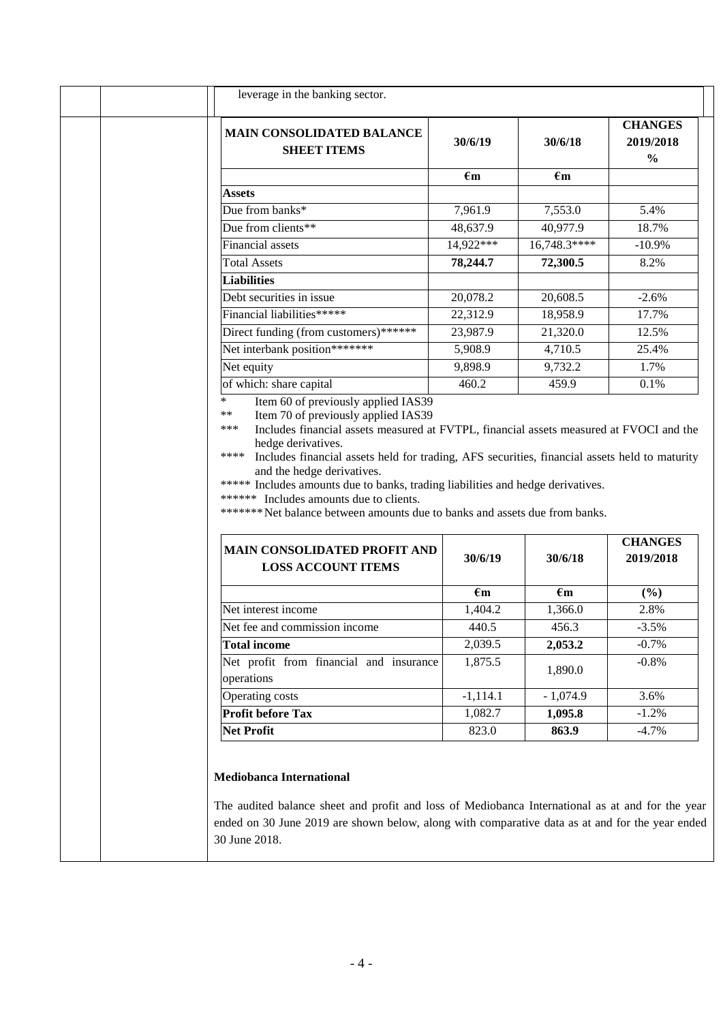| <b>MAIN CONSOLIDATED BALANCE</b><br><b>SHEET ITEMS</b>                                                                                                                                                                                                                                                                                                                                                                                                                                                                                                                                            | 30/6/19                 | 30/6/18                 | <b>CHANGES</b><br>2019/2018<br>$\frac{0}{0}$ |
|---------------------------------------------------------------------------------------------------------------------------------------------------------------------------------------------------------------------------------------------------------------------------------------------------------------------------------------------------------------------------------------------------------------------------------------------------------------------------------------------------------------------------------------------------------------------------------------------------|-------------------------|-------------------------|----------------------------------------------|
|                                                                                                                                                                                                                                                                                                                                                                                                                                                                                                                                                                                                   | $\epsilon$ m            | $\epsilon$ m            |                                              |
| <b>Assets</b>                                                                                                                                                                                                                                                                                                                                                                                                                                                                                                                                                                                     |                         |                         |                                              |
| Due from banks*                                                                                                                                                                                                                                                                                                                                                                                                                                                                                                                                                                                   | 7,961.9                 | 7,553.0                 | 5.4%                                         |
| Due from clients**                                                                                                                                                                                                                                                                                                                                                                                                                                                                                                                                                                                | 48,637.9                | 40,977.9                | 18.7%                                        |
| <b>Financial</b> assets                                                                                                                                                                                                                                                                                                                                                                                                                                                                                                                                                                           | 14,922***               | 16,748.3****            | $-10.9%$                                     |
| <b>Total Assets</b>                                                                                                                                                                                                                                                                                                                                                                                                                                                                                                                                                                               | 78,244.7                | 72,300.5                | 8.2%                                         |
| <b>Liabilities</b>                                                                                                                                                                                                                                                                                                                                                                                                                                                                                                                                                                                |                         |                         |                                              |
| Debt securities in issue                                                                                                                                                                                                                                                                                                                                                                                                                                                                                                                                                                          | 20,078.2                | 20,608.5                | $-2.6%$                                      |
| Financial liabilities*****                                                                                                                                                                                                                                                                                                                                                                                                                                                                                                                                                                        | 22,312.9                | 18,958.9                | 17.7%                                        |
| Direct funding (from customers)******                                                                                                                                                                                                                                                                                                                                                                                                                                                                                                                                                             | 23,987.9                | 21,320.0                | 12.5%                                        |
|                                                                                                                                                                                                                                                                                                                                                                                                                                                                                                                                                                                                   | 5,908.9                 | 4,710.5                 | 25.4%                                        |
| Net interbank position*******                                                                                                                                                                                                                                                                                                                                                                                                                                                                                                                                                                     |                         |                         |                                              |
| Net equity                                                                                                                                                                                                                                                                                                                                                                                                                                                                                                                                                                                        | 9,898.9                 | 9,732.2                 | 1.7%                                         |
| of which: share capital<br>$\ast$<br>Item 60 of previously applied IAS39<br>**<br>Item 70 of previously applied IAS39<br>***<br>Includes financial assets measured at FVTPL, financial assets measured at FVOCI and the<br>hedge derivatives.<br>****<br>Includes financial assets held for trading, AFS securities, financial assets held to maturity<br>and the hedge derivatives.<br>***** Includes amounts due to banks, trading liabilities and hedge derivatives.<br>****** Includes amounts due to clients.<br>******* Net balance between amounts due to banks and assets due from banks. | 460.2                   | 459.9                   | 0.1%                                         |
| <b>MAIN CONSOLIDATED PROFIT AND</b><br><b>LOSS ACCOUNT ITEMS</b>                                                                                                                                                                                                                                                                                                                                                                                                                                                                                                                                  | 30/6/19                 | 30/6/18                 | 2019/2018                                    |
|                                                                                                                                                                                                                                                                                                                                                                                                                                                                                                                                                                                                   |                         |                         |                                              |
| Net interest income                                                                                                                                                                                                                                                                                                                                                                                                                                                                                                                                                                               | $\epsilon$ m<br>1,404.2 | $\epsilon$ m<br>1,366.0 | $(\%)$<br>2.8%                               |
| Net fee and commission income                                                                                                                                                                                                                                                                                                                                                                                                                                                                                                                                                                     |                         | 456.3                   |                                              |
| <b>Total income</b>                                                                                                                                                                                                                                                                                                                                                                                                                                                                                                                                                                               | 440.5<br>2,039.5        | 2,053.2                 | <b>CHANGES</b><br>$-3.5%$<br>$-0.7\%$        |
| Net profit from financial and insurance                                                                                                                                                                                                                                                                                                                                                                                                                                                                                                                                                           | 1,875.5                 | 1,890.0                 | $-0.8\%$                                     |
| operations<br><b>Operating costs</b>                                                                                                                                                                                                                                                                                                                                                                                                                                                                                                                                                              | $-1,114.1$              | $-1,074.9$              | 3.6%                                         |
| Profit before Tax                                                                                                                                                                                                                                                                                                                                                                                                                                                                                                                                                                                 | 1,082.7                 | 1,095.8                 | $-1.2%$                                      |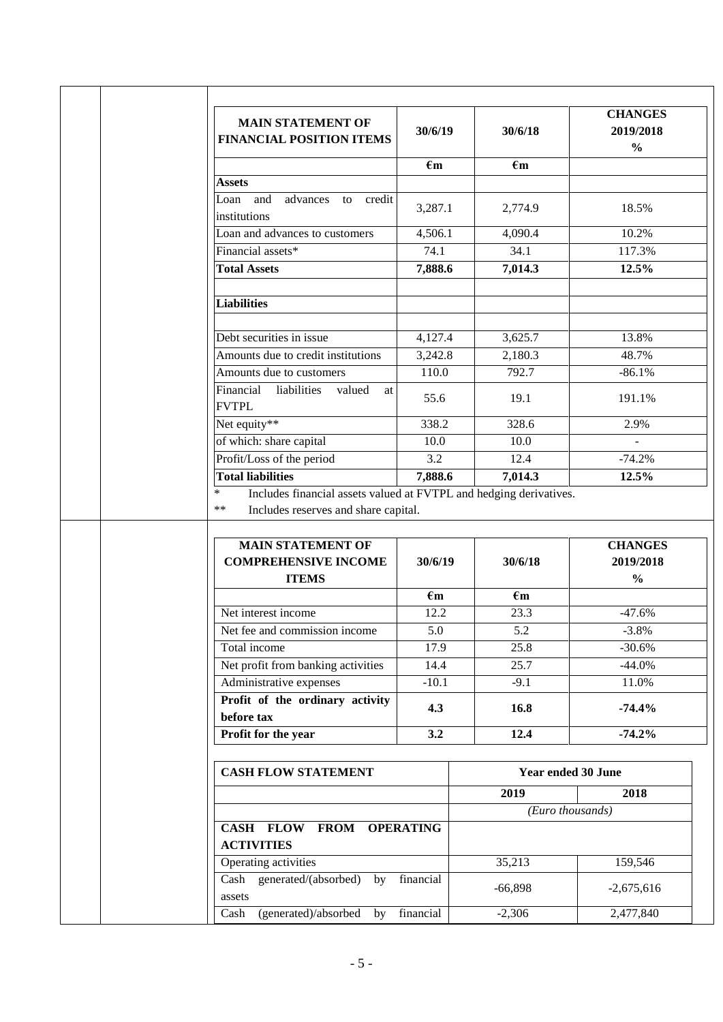| <b>MAIN STATEMENT OF</b><br><b>FINANCIAL POSITION ITEMS</b>                                                                                               | 30/6/19      | 30/6/18                   | <b>CHANGES</b><br>2019/2018<br>$\frac{0}{0}$ |
|-----------------------------------------------------------------------------------------------------------------------------------------------------------|--------------|---------------------------|----------------------------------------------|
|                                                                                                                                                           | $\epsilon$ m | $\epsilon$ m              |                                              |
| Assets                                                                                                                                                    |              |                           |                                              |
| and<br>advances to credit<br>Loan<br>institutions                                                                                                         | 3,287.1      | 2,774.9                   | 18.5%                                        |
| Loan and advances to customers                                                                                                                            | 4,506.1      | 4,090.4                   | 10.2%                                        |
| Financial assets*                                                                                                                                         | 74.1         | 34.1                      | 117.3%                                       |
| <b>Total Assets</b>                                                                                                                                       | 7,888.6      | 7,014.3                   | 12.5%                                        |
| <b>Liabilities</b>                                                                                                                                        |              |                           |                                              |
| Debt securities in issue                                                                                                                                  | 4,127.4      | 3,625.7                   | 13.8%                                        |
| Amounts due to credit institutions                                                                                                                        | 3,242.8      | 2,180.3                   | 48.7%                                        |
| Amounts due to customers                                                                                                                                  | 110.0        | 792.7                     | $-86.1%$                                     |
| Financial<br>liabilities<br>valued<br>at<br><b>FVTPL</b>                                                                                                  | 55.6         | 19.1                      | 191.1%                                       |
| Net equity**                                                                                                                                              | 338.2        | 328.6                     | 2.9%                                         |
| of which: share capital                                                                                                                                   | 10.0         | 10.0                      | ÷.                                           |
| Profit/Loss of the period                                                                                                                                 | 3.2          |                           |                                              |
|                                                                                                                                                           |              | 12.4                      | $-74.2%$                                     |
| <b>Total liabilities</b><br>Includes financial assets valued at FVTPL and hedging derivatives.<br>$\ast$<br>$***$<br>Includes reserves and share capital. | 7,888.6      | 7,014.3                   | 12.5%                                        |
| <b>MAIN STATEMENT OF</b>                                                                                                                                  |              |                           |                                              |
| <b>COMPREHENSIVE INCOME</b>                                                                                                                               | 30/6/19      | 30/6/18                   | <b>CHANGES</b><br>2019/2018                  |
| <b>ITEMS</b>                                                                                                                                              |              |                           | $\frac{0}{0}$                                |
| Net interest income                                                                                                                                       | $\epsilon$ m | $\epsilon$ m              |                                              |
| Net fee and commission income                                                                                                                             | 12.2<br>5.0  | 23.3<br>5.2               | $-47.6%$<br>$-3.8%$                          |
| Total income                                                                                                                                              | 17.9         | 25.8                      | $-30.6%$                                     |
| Net profit from banking activities                                                                                                                        | 14.4         | 25.7                      | $-44.0%$                                     |
| Administrative expenses                                                                                                                                   | $-10.1$      | $-9.1$                    | 11.0%                                        |
| Profit of the ordinary activity                                                                                                                           | 4.3          | 16.8                      | $-74.4%$                                     |
| before tax                                                                                                                                                | 3.2          | 12.4                      | $-74.2%$                                     |
| Profit for the year                                                                                                                                       |              |                           |                                              |
| <b>CASH FLOW STATEMENT</b>                                                                                                                                |              | <b>Year ended 30 June</b> |                                              |
|                                                                                                                                                           |              | 2019                      | 2018                                         |
|                                                                                                                                                           |              | (Euro thousands)          |                                              |
| CASH FLOW FROM OPERATING<br><b>ACTIVITIES</b>                                                                                                             |              |                           |                                              |
| Operating activities                                                                                                                                      |              | 35,213                    | 159,546                                      |
| generated/(absorbed) by<br>Cash<br>assets                                                                                                                 | financial    | $-66,898$                 | $-2,675,616$                                 |

Cash (generated)/absorbed by financial -2,306 2,477,840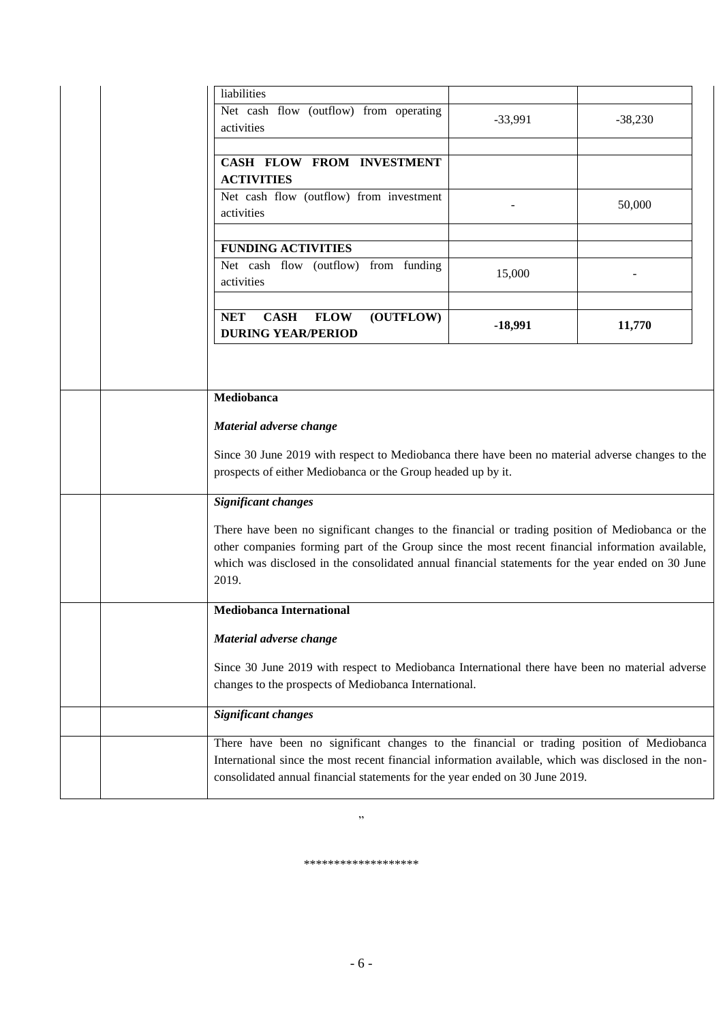| liabilities                                                                                                                                                                                                                                                                                                        |           |           |
|--------------------------------------------------------------------------------------------------------------------------------------------------------------------------------------------------------------------------------------------------------------------------------------------------------------------|-----------|-----------|
| Net cash flow (outflow) from operating<br>activities                                                                                                                                                                                                                                                               | $-33,991$ | $-38,230$ |
| CASH FLOW FROM INVESTMENT<br><b>ACTIVITIES</b>                                                                                                                                                                                                                                                                     |           |           |
| Net cash flow (outflow) from investment<br>activities                                                                                                                                                                                                                                                              |           | 50,000    |
| <b>FUNDING ACTIVITIES</b>                                                                                                                                                                                                                                                                                          |           |           |
| Net cash flow (outflow) from funding<br>activities                                                                                                                                                                                                                                                                 | 15,000    |           |
| <b>NET</b><br><b>CASH</b><br><b>FLOW</b><br>(OUTFLOW)<br><b>DURING YEAR/PERIOD</b>                                                                                                                                                                                                                                 | $-18,991$ | 11,770    |
|                                                                                                                                                                                                                                                                                                                    |           |           |
| Mediobanca                                                                                                                                                                                                                                                                                                         |           |           |
| Material adverse change                                                                                                                                                                                                                                                                                            |           |           |
| Since 30 June 2019 with respect to Mediobanca there have been no material adverse changes to the<br>prospects of either Mediobanca or the Group headed up by it.                                                                                                                                                   |           |           |
| <b>Significant changes</b>                                                                                                                                                                                                                                                                                         |           |           |
| There have been no significant changes to the financial or trading position of Mediobanca or the<br>other companies forming part of the Group since the most recent financial information available,<br>which was disclosed in the consolidated annual financial statements for the year ended on 30 June<br>2019. |           |           |
| <b>Mediobanca International</b>                                                                                                                                                                                                                                                                                    |           |           |
| Material adverse change                                                                                                                                                                                                                                                                                            |           |           |
| Since 30 June 2019 with respect to Mediobanca International there have been no material adverse<br>changes to the prospects of Mediobanca International.                                                                                                                                                           |           |           |
| <b>Significant changes</b>                                                                                                                                                                                                                                                                                         |           |           |
| There have been no significant changes to the financial or trading position of Mediobanca<br>International since the most recent financial information available, which was disclosed in the non-<br>consolidated annual financial statements for the year ended on 30 June 2019.                                  |           |           |

\*\*\*\*\*\*\*\*\*\*\*\*\*\*\*\*\*\*\*

"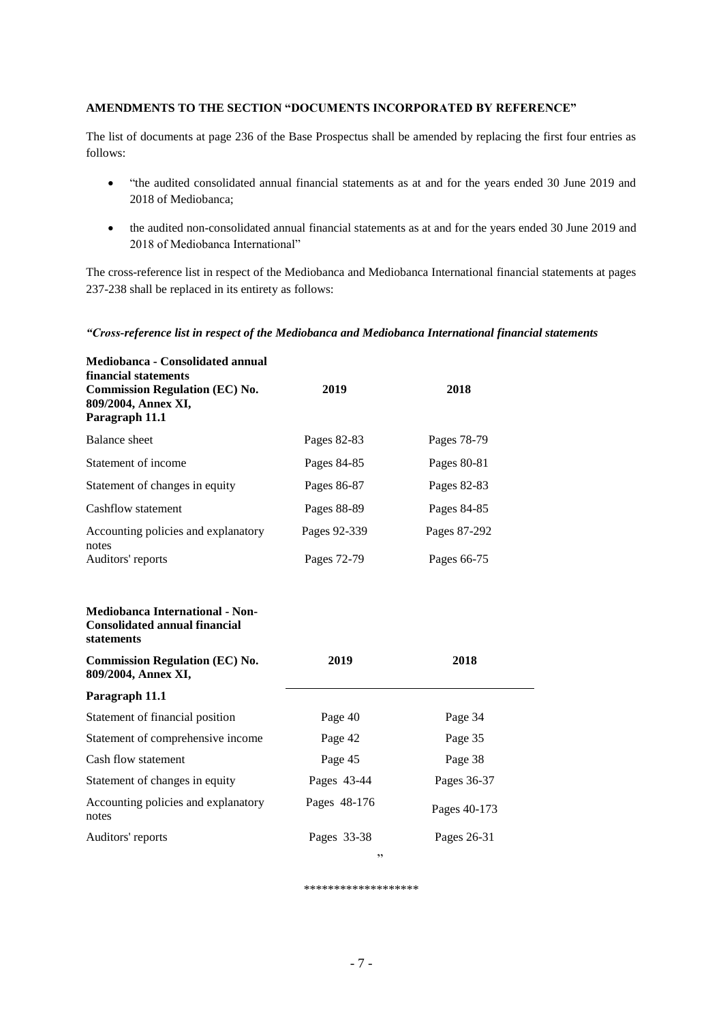## **AMENDMENTS TO THE SECTION "DOCUMENTS INCORPORATED BY REFERENCE"**

The list of documents at page 236 of the Base Prospectus shall be amended by replacing the first four entries as follows:

- "the audited consolidated annual financial statements as at and for the years ended 30 June 2019 and 2018 of Mediobanca;
- the audited non-consolidated annual financial statements as at and for the years ended 30 June 2019 and 2018 of Mediobanca International"

The cross-reference list in respect of the Mediobanca and Mediobanca International financial statements at pages 237-238 shall be replaced in its entirety as follows:

### *"Cross-reference list in respect of the Mediobanca and Mediobanca International financial statements*

| Mediobanca - Consolidated annual<br>financial statements<br><b>Commission Regulation (EC) No.</b><br>809/2004, Annex XI,<br>Paragraph 11.1 | 2019         | 2018         |
|--------------------------------------------------------------------------------------------------------------------------------------------|--------------|--------------|
| <b>Balance</b> sheet                                                                                                                       | Pages 82-83  | Pages 78-79  |
| Statement of income                                                                                                                        | Pages 84-85  | Pages 80-81  |
| Statement of changes in equity                                                                                                             | Pages 86-87  | Pages 82-83  |
| Cashflow statement                                                                                                                         | Pages 88-89  | Pages 84-85  |
| Accounting policies and explanatory<br>notes                                                                                               | Pages 92-339 | Pages 87-292 |
| Auditors' reports                                                                                                                          | Pages 72-79  | Pages 66-75  |
| <b>Mediobanca International - Non-</b><br><b>Consolidated annual financial</b><br>statements<br><b>Commission Regulation (EC) No.</b>      | 2019         | 2018         |
| 809/2004, Annex XI,                                                                                                                        |              |              |
| Paragraph 11.1                                                                                                                             |              |              |
| Statement of financial position                                                                                                            | Page 40      | Page 34      |
| Statement of comprehensive income                                                                                                          | Page 42      | Page 35      |
| Cash flow statement                                                                                                                        | Page 45      | Page 38      |
| Statement of changes in equity                                                                                                             | Pages 43-44  | Pages 36-37  |
| Accounting policies and explanatory<br>notes                                                                                               | Pages 48-176 | Pages 40-173 |
| Auditors' reports                                                                                                                          | Pages 33-38  | Pages 26-31  |
|                                                                                                                                            | ,,           |              |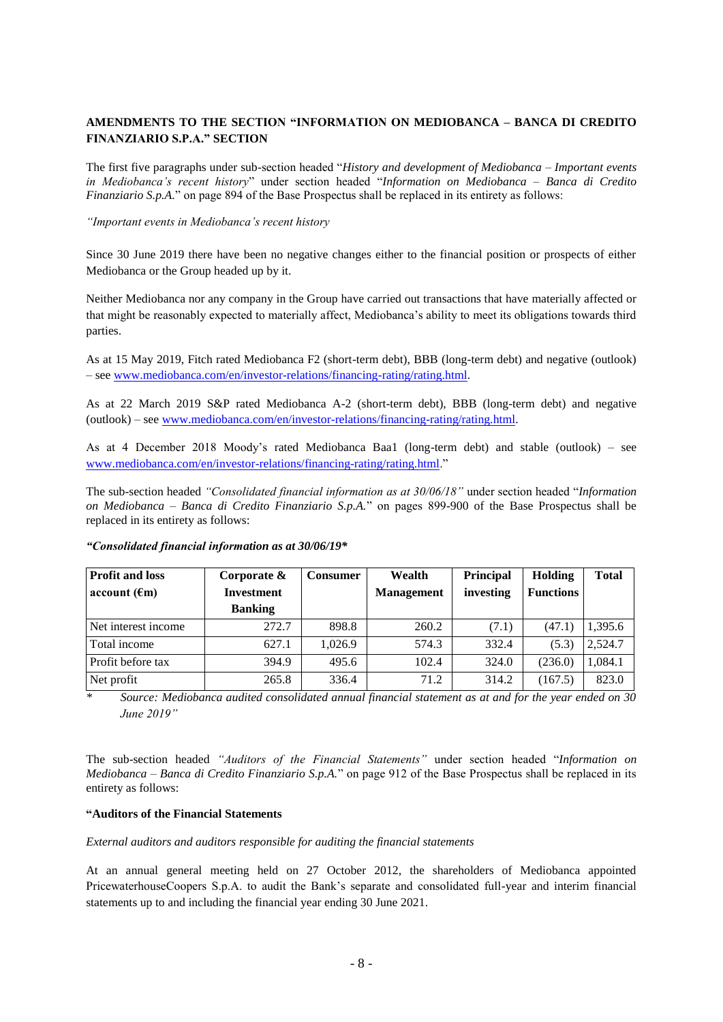## **AMENDMENTS TO THE SECTION "INFORMATION ON MEDIOBANCA – BANCA DI CREDITO FINANZIARIO S.P.A." SECTION**

The first five paragraphs under sub-section headed "*History and development of Mediobanca – Important events in Mediobanca's recent history*" under section headed "*Information on Mediobanca – Banca di Credito Finanziario S.p.A.*" on page 894 of the Base Prospectus shall be replaced in its entirety as follows:

*"Important events in Mediobanca's recent history*

Since 30 June 2019 there have been no negative changes either to the financial position or prospects of either Mediobanca or the Group headed up by it.

Neither Mediobanca nor any company in the Group have carried out transactions that have materially affected or that might be reasonably expected to materially affect, Mediobanca's ability to meet its obligations towards third parties.

As at 15 May 2019, Fitch rated Mediobanca F2 (short-term debt), BBB (long-term debt) and negative (outlook) – se[e www.mediobanca.com/en/investor-relations/financing-rating/rating.html.](http://www.mediobanca.com/en/investor-relations/financing-rating/rating.html)

As at 22 March 2019 S&P rated Mediobanca A-2 (short-term debt), BBB (long-term debt) and negative (outlook) – see [www.mediobanca.com/en/investor-relations/financing-rating/rating.html.](http://www.mediobanca.com/en/investor-relations/financing-rating/rating.html)

As at 4 December 2018 Moody's rated Mediobanca Baa1 (long-term debt) and stable (outlook) – see [www.mediobanca.com/en/investor-relations/financing-rating/rating.html.](http://www.mediobanca.com/en/investor-relations/financing-rating/rating.html)"

The sub-section headed *"Consolidated financial information as at 30/06/18"* under section headed "*Information on Mediobanca – Banca di Credito Finanziario S.p.A.*" on pages 899-900 of the Base Prospectus shall be replaced in its entirety as follows:

| <b>Profit and loss</b> | Corporate $\&$    | <b>Consumer</b> | Wealth            | <b>Principal</b> | Holding          | <b>Total</b> |
|------------------------|-------------------|-----------------|-------------------|------------------|------------------|--------------|
| account (fm)           | <b>Investment</b> |                 | <b>Management</b> | investing        | <b>Functions</b> |              |
|                        | <b>Banking</b>    |                 |                   |                  |                  |              |
| Net interest income    | 272.7             | 898.8           | 260.2             | (7.1)            | (47.1)           | 1,395.6      |
| Total income           | 627.1             | 1.026.9         | 574.3             | 332.4            | (5.3)            | 2,524.7      |
| Profit before tax      | 394.9             | 495.6           | 102.4             | 324.0            | (236.0)          | 1,084.1      |
| Net profit             | 265.8             | 336.4           | 71.2              | 314.2            | (167.5)          | 823.0        |

### *"Consolidated financial information as at 30/06/19\**

*\* Source: Mediobanca audited consolidated annual financial statement as at and for the year ended on 30 June 2019"*

The sub-section headed *"Auditors of the Financial Statements"* under section headed "*Information on Mediobanca – Banca di Credito Finanziario S.p.A.*" on page 912 of the Base Prospectus shall be replaced in its entirety as follows:

#### **"Auditors of the Financial Statements**

*External auditors and auditors responsible for auditing the financial statements*

At an annual general meeting held on 27 October 2012, the shareholders of Mediobanca appointed PricewaterhouseCoopers S.p.A. to audit the Bank's separate and consolidated full-year and interim financial statements up to and including the financial year ending 30 June 2021.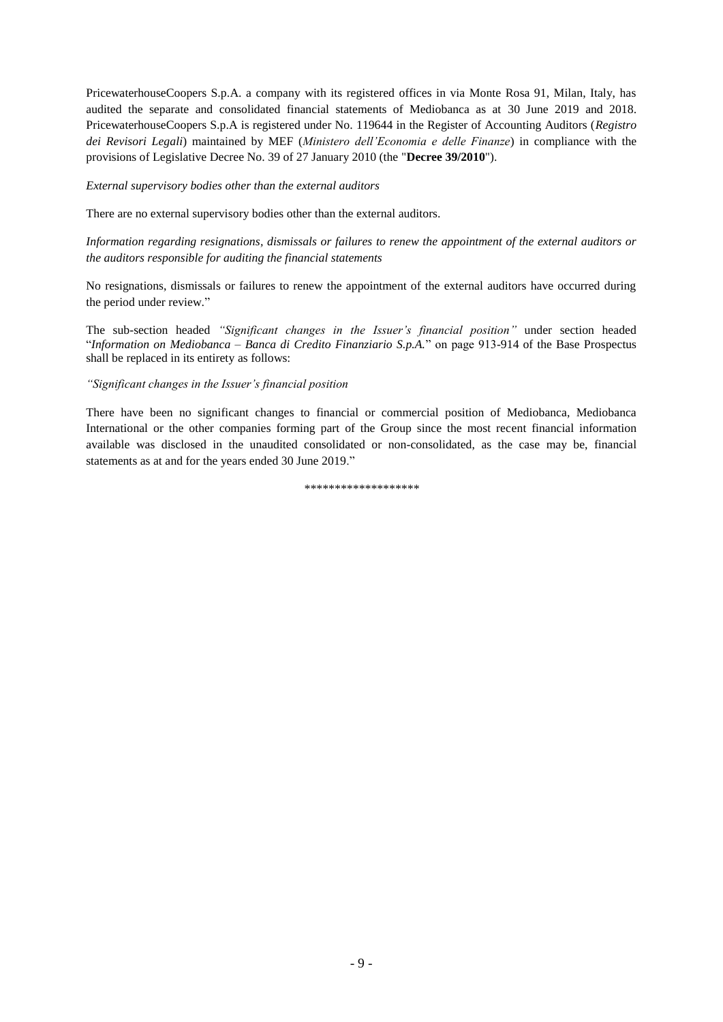PricewaterhouseCoopers S.p.A. a company with its registered offices in via Monte Rosa 91, Milan, Italy, has audited the separate and consolidated financial statements of Mediobanca as at 30 June 2019 and 2018. PricewaterhouseCoopers S.p.A is registered under No. 119644 in the Register of Accounting Auditors (*Registro dei Revisori Legali*) maintained by MEF (*Ministero dell'Economia e delle Finanze*) in compliance with the provisions of Legislative Decree No. 39 of 27 January 2010 (the "**Decree 39/2010**").

*External supervisory bodies other than the external auditors*

There are no external supervisory bodies other than the external auditors.

*Information regarding resignations, dismissals or failures to renew the appointment of the external auditors or the auditors responsible for auditing the financial statements*

No resignations, dismissals or failures to renew the appointment of the external auditors have occurred during the period under review."

The sub-section headed *"Significant changes in the Issuer's financial position"* under section headed "*Information on Mediobanca – Banca di Credito Finanziario S.p.A.*" on page 913-914 of the Base Prospectus shall be replaced in its entirety as follows:

### *"Significant changes in the Issuer's financial position*

There have been no significant changes to financial or commercial position of Mediobanca, Mediobanca International or the other companies forming part of the Group since the most recent financial information available was disclosed in the unaudited consolidated or non-consolidated, as the case may be, financial statements as at and for the years ended 30 June 2019."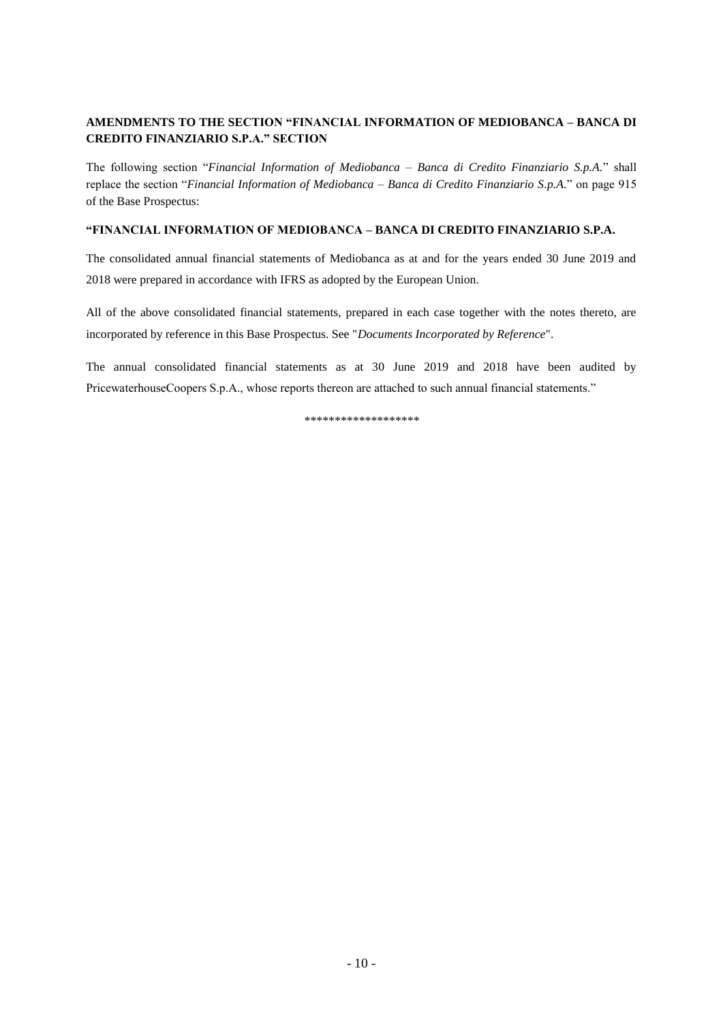# **AMENDMENTS TO THE SECTION "FINANCIAL INFORMATION OF MEDIOBANCA – BANCA DI CREDITO FINANZIARIO S.P.A." SECTION**

The following section "*Financial Information of Mediobanca – Banca di Credito Finanziario S.p.A.*" shall replace the section "*Financial Information of Mediobanca – Banca di Credito Finanziario S.p.A.*" on page 915 of the Base Prospectus:

### **"FINANCIAL INFORMATION OF MEDIOBANCA – BANCA DI CREDITO FINANZIARIO S.P.A.**

The consolidated annual financial statements of Mediobanca as at and for the years ended 30 June 2019 and 2018 were prepared in accordance with IFRS as adopted by the European Union.

All of the above consolidated financial statements, prepared in each case together with the notes thereto, are incorporated by reference in this Base Prospectus. See "*Documents Incorporated by Reference*".

The annual consolidated financial statements as at 30 June 2019 and 2018 have been audited by PricewaterhouseCoopers S.p.A., whose reports thereon are attached to such annual financial statements."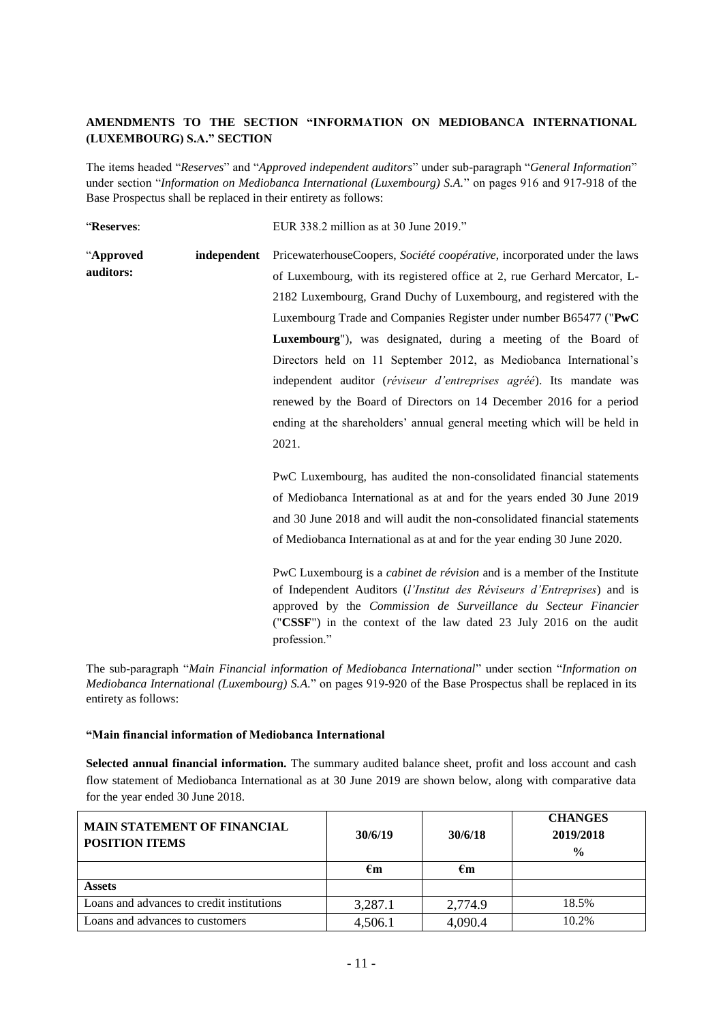# **AMENDMENTS TO THE SECTION "INFORMATION ON MEDIOBANCA INTERNATIONAL (LUXEMBOURG) S.A." SECTION**

The items headed "*Reserves*" and "*Approved independent auditors*" under sub-paragraph "*General Information*" under section "*Information on Mediobanca International (Luxembourg) S.A.*" on pages 916 and 917-918 of the Base Prospectus shall be replaced in their entirety as follows:

"**Reserves**: EUR 338.2 million as at 30 June 2019."

| Reselves.              |             | $EUN 338.2$ illillion as at 30 june 2019.                                                                                                            |  |  |  |  |
|------------------------|-------------|------------------------------------------------------------------------------------------------------------------------------------------------------|--|--|--|--|
| "Approved<br>auditors: | independent | PricewaterhouseCoopers, Société coopérative, incorporated under the laws<br>of Luxembourg, with its registered office at 2, rue Gerhard Mercator, L- |  |  |  |  |
|                        |             | 2182 Luxembourg, Grand Duchy of Luxembourg, and registered with the                                                                                  |  |  |  |  |
|                        |             | Luxembourg Trade and Companies Register under number B65477 ("PwC                                                                                    |  |  |  |  |
|                        |             | Luxembourg"), was designated, during a meeting of the Board of                                                                                       |  |  |  |  |
|                        |             | Directors held on 11 September 2012, as Mediobanca International's                                                                                   |  |  |  |  |
|                        |             | independent auditor (réviseur d'entreprises agréé). Its mandate was                                                                                  |  |  |  |  |
|                        |             | renewed by the Board of Directors on 14 December 2016 for a period                                                                                   |  |  |  |  |
|                        |             | ending at the shareholders' annual general meeting which will be held in                                                                             |  |  |  |  |
|                        |             | 2021.                                                                                                                                                |  |  |  |  |
|                        |             |                                                                                                                                                      |  |  |  |  |
|                        |             | PwC Luxembourg, has audited the non-consolidated financial statements                                                                                |  |  |  |  |
|                        |             | of Mediobanca International as at and for the years ended 30 June 2019                                                                               |  |  |  |  |
|                        |             | and 30 June 2018 and will audit the non-consolidated financial statements                                                                            |  |  |  |  |
|                        |             | of Mediobanca International as at and for the year ending 30 June 2020.                                                                              |  |  |  |  |
|                        |             |                                                                                                                                                      |  |  |  |  |

PwC Luxembourg is a *cabinet de révision* and is a member of the Institute of Independent Auditors (*l'Institut des Réviseurs d'Entreprises*) and is approved by the *Commission de Surveillance du Secteur Financier* ("**CSSF**") in the context of the law dated 23 July 2016 on the audit profession."

The sub-paragraph "*Main Financial information of Mediobanca International*" under section "*Information on Mediobanca International (Luxembourg) S.A.*" on pages 919-920 of the Base Prospectus shall be replaced in its entirety as follows:

### **"Main financial information of Mediobanca International**

**Selected annual financial information.** The summary audited balance sheet, profit and loss account and cash flow statement of Mediobanca International as at 30 June 2019 are shown below, along with comparative data for the year ended 30 June 2018.

| <b>MAIN STATEMENT OF FINANCIAL</b><br><b>POSITION ITEMS</b> | 30/6/19 | 30/6/18 | <b>CHANGES</b><br>2019/2018<br>$\frac{0}{0}$ |
|-------------------------------------------------------------|---------|---------|----------------------------------------------|
|                                                             | €m      | €m      |                                              |
| <b>Assets</b>                                               |         |         |                                              |
| Loans and advances to credit institutions                   | 3,287.1 | 2,774.9 | 18.5%                                        |
| Loans and advances to customers                             | 4,506.1 | 4,090.4 | 10.2%                                        |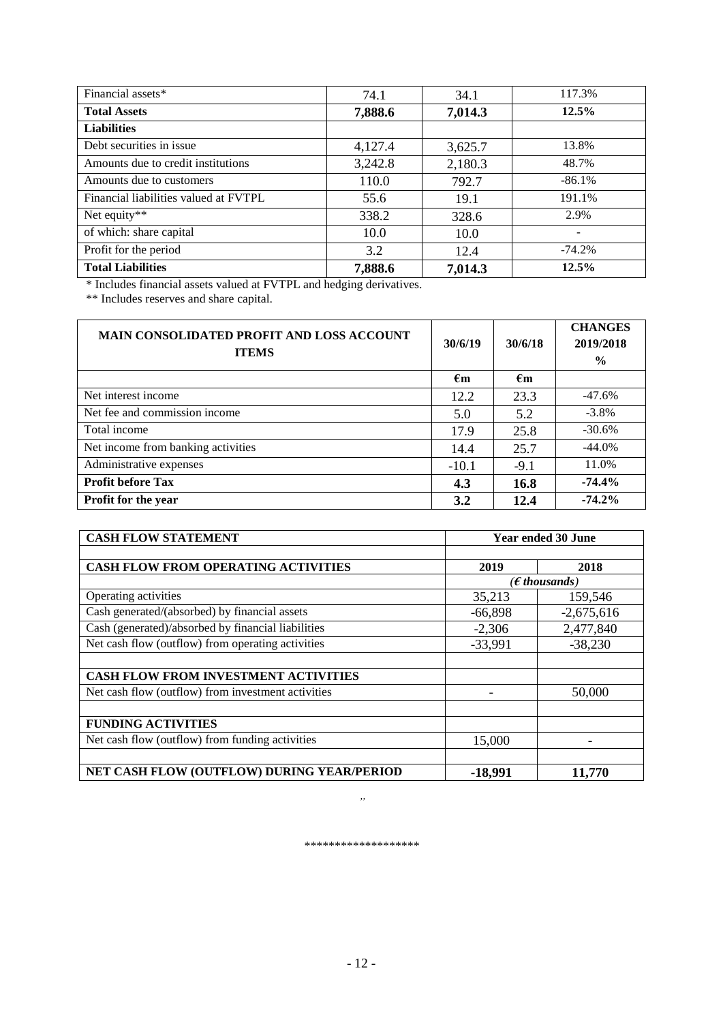| Financial assets*                     | 74.1    | 34.1    | 117.3%                   |
|---------------------------------------|---------|---------|--------------------------|
| <b>Total Assets</b>                   | 7,888.6 | 7,014.3 | 12.5%                    |
| <b>Liabilities</b>                    |         |         |                          |
| Debt securities in issue              | 4,127.4 | 3,625.7 | 13.8%                    |
| Amounts due to credit institutions    | 3,242.8 | 2,180.3 | 48.7%                    |
| Amounts due to customers              | 110.0   | 792.7   | $-86.1%$                 |
| Financial liabilities valued at FVTPL | 55.6    | 19.1    | 191.1%                   |
| Net equity**                          | 338.2   | 328.6   | 2.9%                     |
| of which: share capital               | 10.0    | 10.0    | $\overline{\phantom{0}}$ |
| Profit for the period                 | 3.2     | 12.4    | $-74.2%$                 |
| <b>Total Liabilities</b>              | 7,888.6 | 7,014.3 | 12.5%                    |

\* Includes financial assets valued at FVTPL and hedging derivatives.

\*\* Includes reserves and share capital.

| <b>MAIN CONSOLIDATED PROFIT AND LOSS ACCOUNT</b><br><b>ITEMS</b> | 30/6/19      | 30/6/18      | <b>CHANGES</b><br>2019/2018<br>$\frac{0}{0}$ |
|------------------------------------------------------------------|--------------|--------------|----------------------------------------------|
|                                                                  | $\epsilon$ m | $\epsilon$ m |                                              |
| Net interest income                                              | 12.2         | 23.3         | $-47.6%$                                     |
| Net fee and commission income                                    | 5.0          | 5.2          | $-3.8\%$                                     |
| Total income                                                     | 17.9         | 25.8         | $-30.6%$                                     |
| Net income from banking activities                               | 14.4         | 25.7         | $-44.0%$                                     |
| Administrative expenses                                          | $-10.1$      | $-9.1$       | 11.0%                                        |
| <b>Profit before Tax</b>                                         | 4.3          | 16.8         | $-74.4%$                                     |
| Profit for the year                                              | 3.2          | 12.4         | $-74.2%$                                     |

| <b>CASH FLOW STATEMENT</b>                         | <b>Year ended 30 June</b> |                          |  |
|----------------------------------------------------|---------------------------|--------------------------|--|
|                                                    |                           |                          |  |
| <b>CASH FLOW FROM OPERATING ACTIVITIES</b>         | 2019                      | 2018                     |  |
|                                                    |                           | ( $\epsilon$ thousands ) |  |
| Operating activities                               | 35,213                    | 159,546                  |  |
| Cash generated/(absorbed) by financial assets      | $-66,898$                 | $-2,675,616$             |  |
| Cash (generated)/absorbed by financial liabilities | $-2,306$                  | 2,477,840                |  |
| Net cash flow (outflow) from operating activities  | $-33,991$                 | $-38,230$                |  |
|                                                    |                           |                          |  |
| CASH FLOW FROM INVESTMENT ACTIVITIES               |                           |                          |  |
| Net cash flow (outflow) from investment activities |                           | 50,000                   |  |
|                                                    |                           |                          |  |
| <b>FUNDING ACTIVITIES</b>                          |                           |                          |  |
| Net cash flow (outflow) from funding activities    | 15,000                    |                          |  |
|                                                    |                           |                          |  |
| NET CASH FLOW (OUTFLOW) DURING YEAR/PERIOD         | $-18,991$                 | 11,770                   |  |

*\*\*\*\*\*\*\*\*\*\*\*\*\*\*\*\*\*\*\**

*"*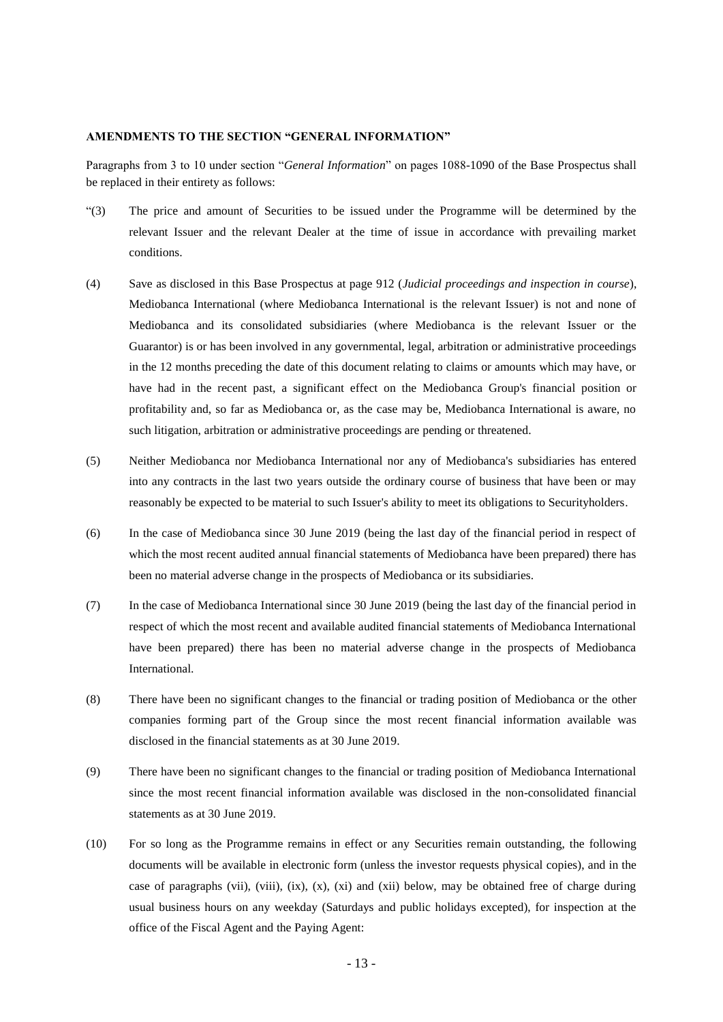### **AMENDMENTS TO THE SECTION "GENERAL INFORMATION"**

Paragraphs from 3 to 10 under section "*General Information*" on pages 1088-1090 of the Base Prospectus shall be replaced in their entirety as follows:

- "(3) The price and amount of Securities to be issued under the Programme will be determined by the relevant Issuer and the relevant Dealer at the time of issue in accordance with prevailing market conditions.
- (4) Save as disclosed in this Base Prospectus at page 912 (*Judicial proceedings and inspection in course*), Mediobanca International (where Mediobanca International is the relevant Issuer) is not and none of Mediobanca and its consolidated subsidiaries (where Mediobanca is the relevant Issuer or the Guarantor) is or has been involved in any governmental, legal, arbitration or administrative proceedings in the 12 months preceding the date of this document relating to claims or amounts which may have, or have had in the recent past, a significant effect on the Mediobanca Group's financial position or profitability and, so far as Mediobanca or, as the case may be, Mediobanca International is aware, no such litigation, arbitration or administrative proceedings are pending or threatened.
- (5) Neither Mediobanca nor Mediobanca International nor any of Mediobanca's subsidiaries has entered into any contracts in the last two years outside the ordinary course of business that have been or may reasonably be expected to be material to such Issuer's ability to meet its obligations to Securityholders.
- (6) In the case of Mediobanca since 30 June 2019 (being the last day of the financial period in respect of which the most recent audited annual financial statements of Mediobanca have been prepared) there has been no material adverse change in the prospects of Mediobanca or its subsidiaries.
- (7) In the case of Mediobanca International since 30 June 2019 (being the last day of the financial period in respect of which the most recent and available audited financial statements of Mediobanca International have been prepared) there has been no material adverse change in the prospects of Mediobanca International.
- (8) There have been no significant changes to the financial or trading position of Mediobanca or the other companies forming part of the Group since the most recent financial information available was disclosed in the financial statements as at 30 June 2019.
- (9) There have been no significant changes to the financial or trading position of Mediobanca International since the most recent financial information available was disclosed in the non-consolidated financial statements as at 30 June 2019.
- (10) For so long as the Programme remains in effect or any Securities remain outstanding, the following documents will be available in electronic form (unless the investor requests physical copies), and in the case of paragraphs (vii), (viii),  $(ix)$ ,  $(x)$ ,  $(x)$  and  $(xii)$  below, may be obtained free of charge during usual business hours on any weekday (Saturdays and public holidays excepted), for inspection at the office of the Fiscal Agent and the Paying Agent: